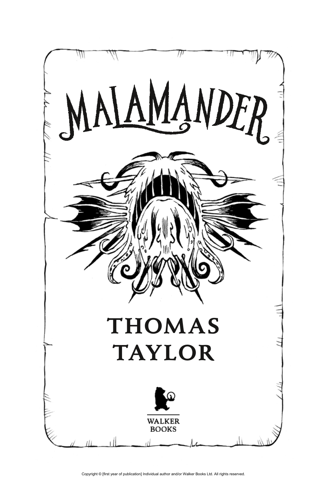

Copyright © Ifirst year of publication] Individual author and/or Walker Books Ltd. All rights reserved.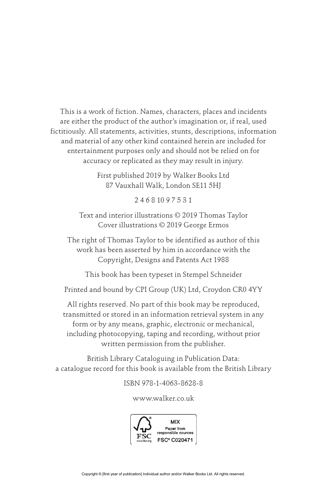This is a work of fiction. Names, characters, places and incidents are either the product of the author's imagination or, if real, used fictitiously. All statements, activities, stunts, descriptions, information and material of any other kind contained herein are included for entertainment purposes only and should not be relied on for accuracy or replicated as they may result in injury.

> First published 2019 by Walker Books Ltd 87 Vauxhall Walk, London SE11 5HJ

> > 2 4 6 8 10 9 7 5 3 1

Text and interior illustrations © 2019 Thomas Taylor Cover illustrations © 2019 George Ermos

The right of Thomas Taylor to be identified as author of this work has been asserted by him in accordance with the Copyright, Designs and Patents Act 1988

This book has been typeset in Stempel Schneider

Printed and bound by CPI Group (UK) Ltd, Croydon CR0 4YY

All rights reserved. No part of this book may be reproduced, transmitted or stored in an information retrieval system in any form or by any means, graphic, electronic or mechanical, including photocopying, taping and recording, without prior written permission from the publisher.

British Library Cataloguing in Publication Data: a catalogue record for this book is available from the British Library

ISBN 978-1-4063-8628-8

www.walker.co.uk

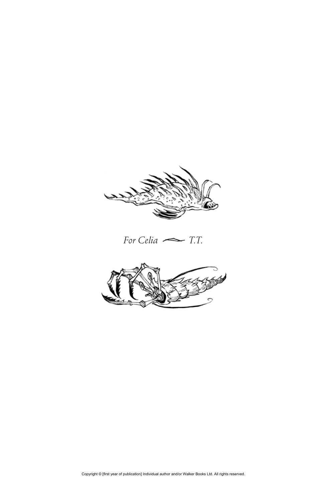

*For Celia T.T.*

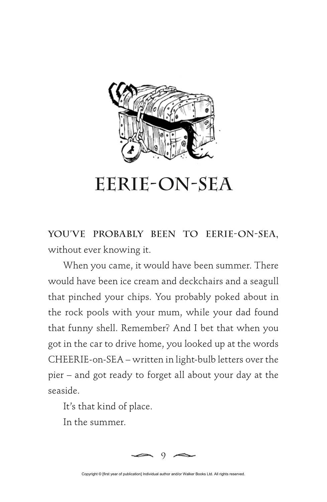

## **Eerie-on-Sea**

**YOU'VE PROBABLY BEEN TO EERIE-ON-SEA,** without ever knowing it.

When you came, it would have been summer. There would have been ice cream and deckchairs and a seagull that pinched your chips. You probably poked about in the rock pools with your mum, while your dad found that funny shell. Remember? And I bet that when you got in the car to drive home, you looked up at the words CHEERIE-on-SEA – written in light-bulb letters over the pier – and got ready to forget all about your day at the seaside.

It's that kind of place.

In the summer.



Copyright © Ifirst year of publication] Individual author and/or Walker Books Ltd. All rights reserved.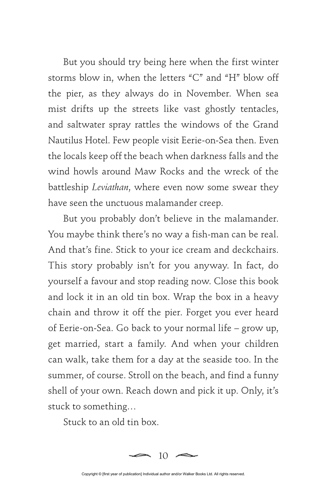But you should try being here when the first winter storms blow in, when the letters "C" and "H" blow off the pier, as they always do in November. When sea mist drifts up the streets like vast ghostly tentacles, and saltwater spray rattles the windows of the Grand Nautilus Hotel. Few people visit Eerie-on-Sea then. Even the locals keep off the beach when darkness falls and the wind howls around Maw Rocks and the wreck of the battleship *Leviathan*, where even now some swear they have seen the unctuous malamander creep.

But you probably don't believe in the malamander. You maybe think there's no way a fish-man can be real. And that's fine. Stick to your ice cream and deckchairs. This story probably isn't for you anyway. In fact, do yourself a favour and stop reading now. Close this book and lock it in an old tin box. Wrap the box in a heavy chain and throw it off the pier. Forget you ever heard of Eerie-on-Sea. Go back to your normal life – grow up, get married, start a family. And when your children can walk, take them for a day at the seaside too. In the summer, of course. Stroll on the beach, and find a funny shell of your own. Reach down and pick it up. Only, it's stuck to something…

Stuck to an old tin box.



Copyright © [first year of publication] Individual author and/or Walker Books Ltd. All rights reserved.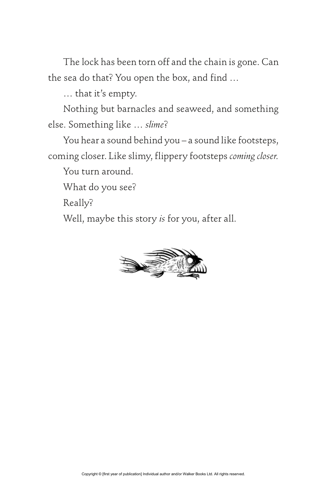The lock has been torn off and the chain is gone. Can the sea do that? You open the box, and find …

… that it's empty.

Nothing but barnacles and seaweed, and something else. Something like … *slime*?

You hear a sound behind you – a sound like footsteps, coming closer. Like slimy, flippery footsteps *coming closer.*

You turn around.

What do you see?

Really?

Well, maybe this story *is* for you, after all.

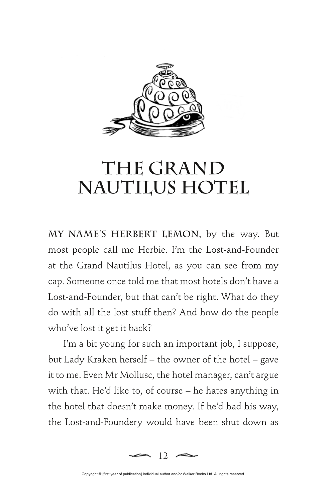

## **The Grand Nautilus Hotel**

**MY NAME'S HERBERT LEMON,** by the way. But most people call me Herbie. I'm the Lost-and-Founder at the Grand Nautilus Hotel, as you can see from my cap. Someone once told me that most hotels don't have a Lost-and-Founder, but that can't be right. What do they do with all the lost stuff then? And how do the people who've lost it get it back?

I'm a bit young for such an important job, I suppose, but Lady Kraken herself – the owner of the hotel – gave it to me. Even Mr Mollusc, the hotel manager, can't argue with that. He'd like to, of course – he hates anything in the hotel that doesn't make money. If he'd had his way, the Lost-and-Foundery would have been shut down as



Copyright © [first year of publication] Individual author and/or Walker Books Ltd. All rights reserved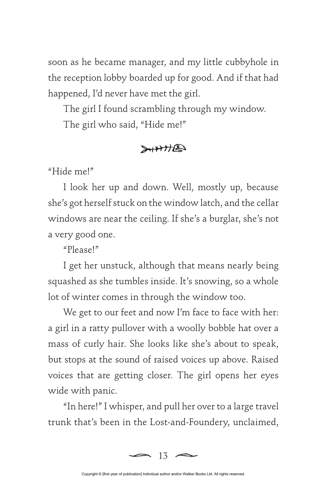soon as he became manager, and my little cubbyhole in the reception lobby boarded up for good. And if that had happened, I'd never have met the girl.

The girl I found scrambling through my window. The girl who said, "Hide me!"

## **SHAHE**

"Hide me!"

I look her up and down. Well, mostly up, because she's got herself stuck on the window latch, and the cellar windows are near the ceiling. If she's a burglar, she's not a very good one.

"Please!"

I get her unstuck, although that means nearly being squashed as she tumbles inside. It's snowing, so a whole lot of winter comes in through the window too.

We get to our feet and now I'm face to face with her: a girl in a ratty pullover with a woolly bobble hat over a mass of curly hair. She looks like she's about to speak, but stops at the sound of raised voices up above. Raised voices that are getting closer. The girl opens her eyes wide with panic.

"In here!" I whisper, and pull her over to a large travel trunk that's been in the Lost-and-Foundery, unclaimed,

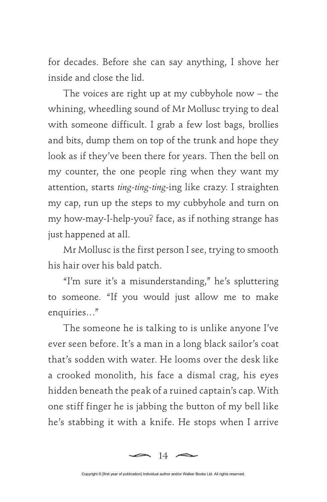for decades. Before she can say anything, I shove her inside and close the lid.

The voices are right up at my cubbyhole now – the whining, wheedling sound of Mr Mollusc trying to deal with someone difficult. I grab a few lost bags, brollies and bits, dump them on top of the trunk and hope they look as if they've been there for years. Then the bell on my counter, the one people ring when they want my attention, starts *ting-ting-ting*-ing like crazy. I straighten my cap, run up the steps to my cubbyhole and turn on my how-may-I-help-you? face, as if nothing strange has just happened at all.

Mr Mollusc is the first person I see, trying to smooth his hair over his bald patch.

"I'm sure it's a misunderstanding," he's spluttering to someone. "If you would just allow me to make enquiries…"

The someone he is talking to is unlike anyone I've ever seen before. It's a man in a long black sailor's coat that's sodden with water. He looms over the desk like a crooked monolith, his face a dismal crag, his eyes hidden beneath the peak of a ruined captain's cap. With one stiff finger he is jabbing the button of my bell like he's stabbing it with a knife. He stops when I arrive

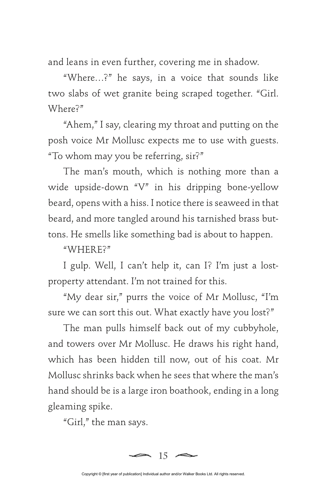and leans in even further, covering me in shadow.

"Where…?" he says, in a voice that sounds like two slabs of wet granite being scraped together. "Girl. Where?"

"Ahem," I say, clearing my throat and putting on the posh voice Mr Mollusc expects me to use with guests. "To whom may you be referring, sir?"

The man's mouth, which is nothing more than a wide upside-down "V" in his dripping bone-yellow beard, opens with a hiss. I notice there is seaweed in that beard, and more tangled around his tarnished brass buttons. He smells like something bad is about to happen.

"WHERE?"

I gulp. Well, I can't help it, can I? I'm just a lostproperty attendant. I'm not trained for this.

"My dear sir," purrs the voice of Mr Mollusc, "I'm sure we can sort this out. What exactly have you lost?"

The man pulls himself back out of my cubbyhole, and towers over Mr Mollusc. He draws his right hand, which has been hidden till now, out of his coat. Mr Mollusc shrinks back when he sees that where the man's hand should be is a large iron boathook, ending in a long gleaming spike.

"Girl," the man says.



Copyright © Ifirst year of publication] Individual author and/or Walker Books Ltd. All rights reserved.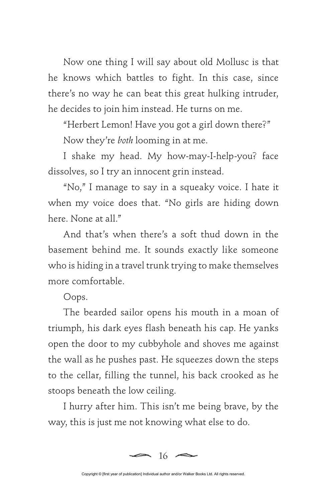Now one thing I will say about old Mollusc is that he knows which battles to fight. In this case, since there's no way he can beat this great hulking intruder, he decides to join him instead. He turns on me.

"Herbert Lemon! Have you got a girl down there?" Now they're *both* looming in at me.

I shake my head. My how-may-I-help-you? face dissolves, so I try an innocent grin instead.

"No," I manage to say in a squeaky voice. I hate it when my voice does that. "No girls are hiding down here. None at all."

And that's when there's a soft thud down in the basement behind me. It sounds exactly like someone who is hiding in a travel trunk trying to make themselves more comfortable.

Oops.

The bearded sailor opens his mouth in a moan of triumph, his dark eyes flash beneath his cap. He yanks open the door to my cubbyhole and shoves me against the wall as he pushes past. He squeezes down the steps to the cellar, filling the tunnel, his back crooked as he stoops beneath the low ceiling.

I hurry after him. This isn't me being brave, by the way, this is just me not knowing what else to do.

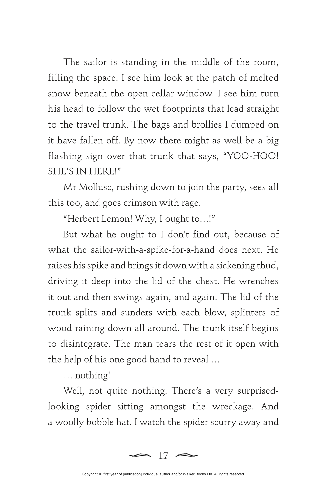The sailor is standing in the middle of the room, filling the space. I see him look at the patch of melted snow beneath the open cellar window. I see him turn his head to follow the wet footprints that lead straight to the travel trunk. The bags and brollies I dumped on it have fallen off. By now there might as well be a big flashing sign over that trunk that says, "YOO-HOO! SHE'S IN HERE!"

Mr Mollusc, rushing down to join the party, sees all this too, and goes crimson with rage.

"Herbert Lemon! Why, I ought to…!"

But what he ought to I don't find out, because of what the sailor-with-a-spike-for-a-hand does next. He raises his spike and brings it down with a sickening thud, driving it deep into the lid of the chest. He wrenches it out and then swings again, and again. The lid of the trunk splits and sunders with each blow, splinters of wood raining down all around. The trunk itself begins to disintegrate. The man tears the rest of it open with the help of his one good hand to reveal …

… nothing!

Well, not quite nothing. There's a very surprisedlooking spider sitting amongst the wreckage. And a woolly bobble hat. I watch the spider scurry away and